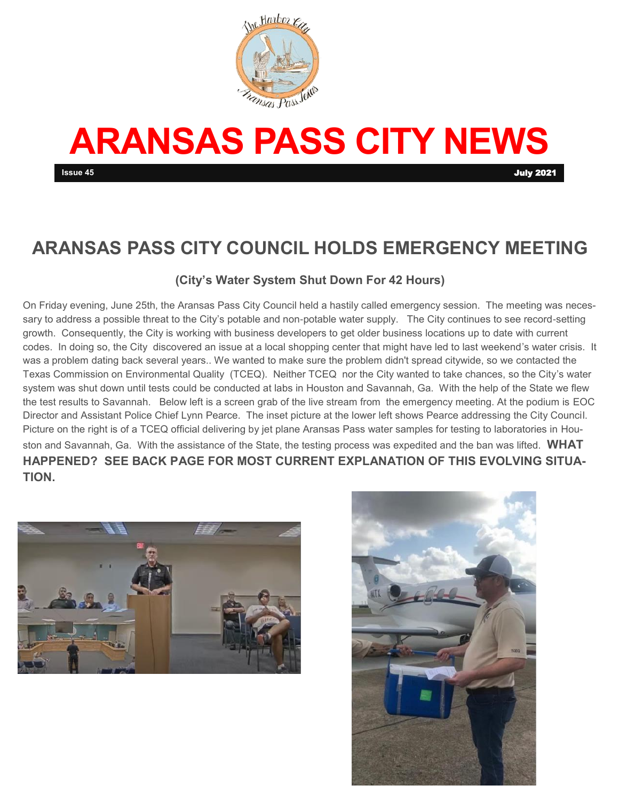

# **ARANSAS PASS CITY NEWS**

# **ARANSAS PASS CITY COUNCIL HOLDS EMERGENCY MEETING**

#### **(City's Water System Shut Down For 42 Hours)**

On Friday evening, June 25th, the Aransas Pass City Council held a hastily called emergency session. The meeting was necessary to address a possible threat to the City's potable and non-potable water supply. The City continues to see record-setting growth. Consequently, the City is working with business developers to get older business locations up to date with current codes. In doing so, the City discovered an issue at a local shopping center that might have led to last weekend's water crisis. It was a problem dating back several years.. We wanted to make sure the problem didn't spread citywide, so we contacted the Texas Commission on Environmental Quality (TCEQ). Neither TCEQ nor the City wanted to take chances, so the City's water system was shut down until tests could be conducted at labs in Houston and Savannah, Ga. With the help of the State we flew the test results to Savannah. Below left is a screen grab of the live stream from the emergency meeting. At the podium is EOC Director and Assistant Police Chief Lynn Pearce. The inset picture at the lower left shows Pearce addressing the City Council. Picture on the right is of a TCEQ official delivering by jet plane Aransas Pass water samples for testing to laboratories in Houston and Savannah, Ga. With the assistance of the State, the testing process was expedited and the ban was lifted. **WHAT HAPPENED? SEE BACK PAGE FOR MOST CURRENT EXPLANATION OF THIS EVOLVING SITUA-TION.** 



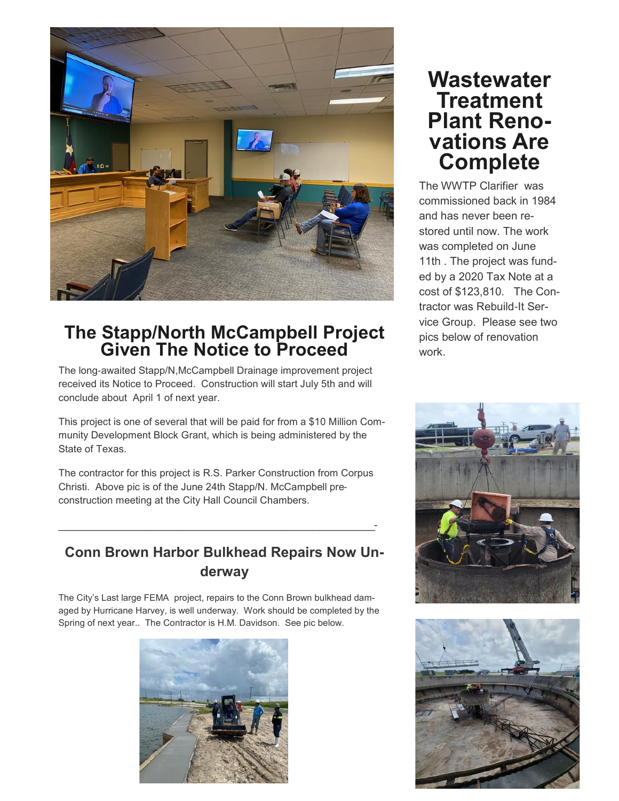

## **The Stapp/North McCampbell Project Given The Notice to Proceed**

The long-awaited Stapp/N,McCampbell Drainage improvement project received its Notice to Proceed. Construction will start July 5th and will conclude about April 1 of next year.

This project is one of several that will be paid for from a \$10 Million Community Development Block Grant, which is being administered by the State of Texas.

The contractor for this project is R.S. Parker Construction from Corpus Christi. Above pic is of the June 24th Stapp/N. McCampbell preconstruction meeting at the City Hall Council Chambers.

 $\mathcal{L}_\text{max}$  , and the contract of the contract of the contract of the contract of the contract of the contract of the contract of the contract of the contract of the contract of the contract of the contract of the contr

### **Conn Brown Harbor Bulkhead Repairs Now Underway**

The City's Last large FEMA project, repairs to the Conn Brown bulkhead damaged by Hurricane Harvey, is well underway. Work should be completed by the Spring of next year.. The Contractor is H.M. Davidson. See pic below.



# **Wastewater Treatment Plant Renovations Are Complete**

The WWTP Clarifier was commissioned back in 1984 and has never been restored until now. The work was completed on June 11th . The project was funded by a 2020 Tax Note at a cost of \$123,810. The Contractor was Rebuild-It Service Group. Please see two pics below of renovation work.



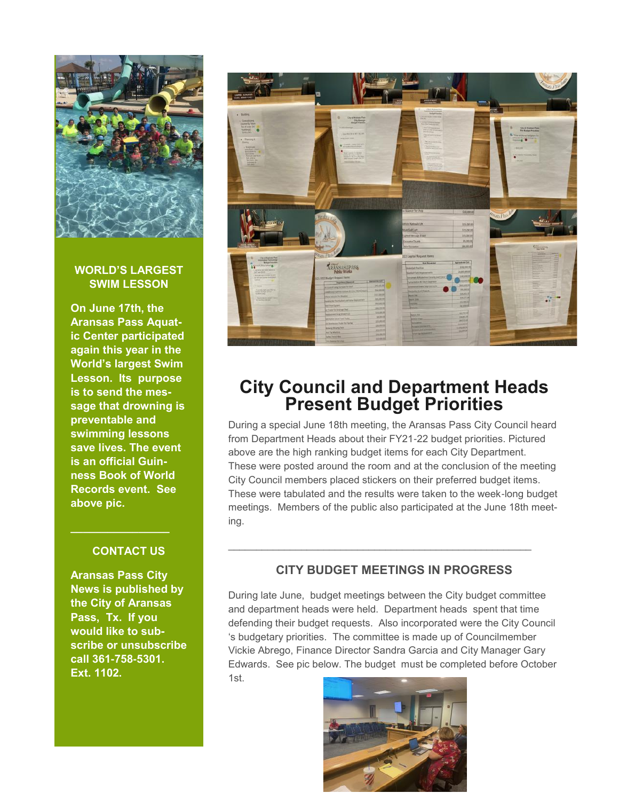

#### **WORLD'S LARGEST SWIM LESSON**

**On June 17th, the Aransas Pass Aquatic Center participated again this year in the World's largest Swim Lesson. Its purpose is to send the message that drowning is preventable and swimming lessons save lives. The event is an official Guinness Book of World Records event. See above pic.** 

#### **CONTACT US**

**\_\_\_\_\_\_\_\_\_\_\_\_\_\_\_\_**

**Aransas Pass City News is published by the City of Aransas Pass, Tx. If you would like to subscribe or unsubscribe call 361-758-5301. Ext. 1102.** 



## **City Council and Department Heads Present Budget Priorities**

During a special June 18th meeting, the Aransas Pass City Council heard from Department Heads about their FY21-22 budget priorities. Pictured above are the high ranking budget items for each City Department. These were posted around the room and at the conclusion of the meeting City Council members placed stickers on their preferred budget items. These were tabulated and the results were taken to the week-long budget meetings. Members of the public also participated at the June 18th meeting.

#### **CITY BUDGET MEETINGS IN PROGRESS**

 $\mathcal{L}_\text{max} = \mathcal{L}_\text{max} = \mathcal{L}_\text{max} = \mathcal{L}_\text{max} = \mathcal{L}_\text{max} = \mathcal{L}_\text{max} = \mathcal{L}_\text{max} = \mathcal{L}_\text{max} = \mathcal{L}_\text{max} = \mathcal{L}_\text{max} = \mathcal{L}_\text{max} = \mathcal{L}_\text{max} = \mathcal{L}_\text{max} = \mathcal{L}_\text{max} = \mathcal{L}_\text{max} = \mathcal{L}_\text{max} = \mathcal{L}_\text{max} = \mathcal{L}_\text{max} = \mathcal{$ 

During late June, budget meetings between the City budget committee and department heads were held. Department heads spent that time defending their budget requests. Also incorporated were the City Council 's budgetary priorities. The committee is made up of Councilmember Vickie Abrego, Finance Director Sandra Garcia and City Manager Gary Edwards. See pic below. The budget must be completed before October 1st.